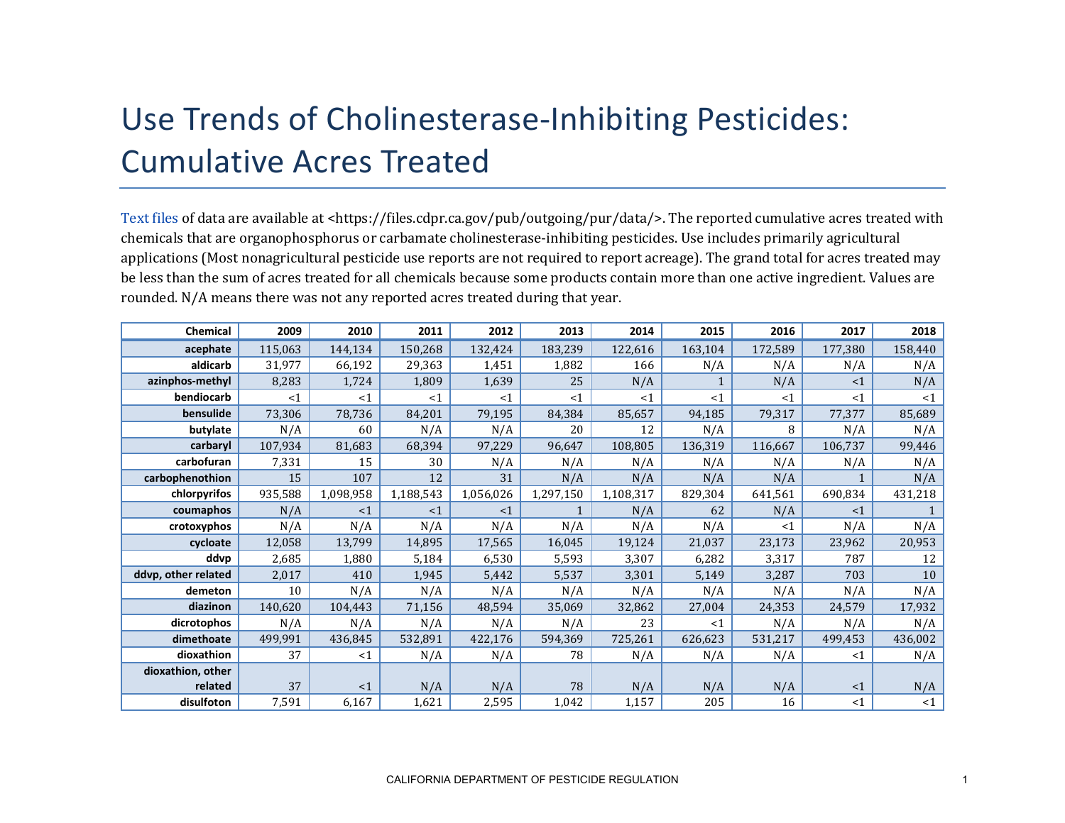## Use Trends of Cholinesterase-Inhibiting Pesticides: Cumulative Acres Treated

[Text files](https://files.cdpr.ca.gov/pub/outgoing/pur/data/) of data are available at <https://files.cdpr.ca.gov/pub/outgoing/pur/data/>. The reported cumulative acres treated with chemicals that are organophosphorus or carbamate cholinesterase-inhibiting pesticides. Use includes primarily agricultural applications (Most nonagricultural pesticide use reports are not required to report acreage). The grand total for acres treated may be less than the sum of acres treated for all chemicals because some products contain more than one active ingredient. Values are rounded. N/A means there was not any reported acres treated during that year.

| Chemical            | 2009    | 2010      | 2011      | 2012      | 2013      | 2014      | 2015    | 2016    | 2017     | 2018    |
|---------------------|---------|-----------|-----------|-----------|-----------|-----------|---------|---------|----------|---------|
| acephate            | 115,063 | 144,134   | 150,268   | 132,424   | 183,239   | 122,616   | 163,104 | 172,589 | 177,380  | 158,440 |
| aldicarb            | 31,977  | 66,192    | 29,363    | 1,451     | 1,882     | 166       | N/A     | N/A     | N/A      | N/A     |
| azinphos-methyl     | 8,283   | 1,724     | 1,809     | 1,639     | 25        | N/A       |         | N/A     | <1       | N/A     |
| bendiocarb          | <1      | <1        | <1        | <1        | <1        | <1        | <1      | <1      | <1       | $<$ 1   |
| bensulide           | 73,306  | 78,736    | 84,201    | 79,195    | 84,384    | 85,657    | 94,185  | 79,317  | 77,377   | 85,689  |
| butylate            | N/A     | 60        | N/A       | N/A       | 20        | 12        | N/A     | 8       | N/A      | N/A     |
| carbaryl            | 107,934 | 81,683    | 68,394    | 97,229    | 96,647    | 108,805   | 136,319 | 116,667 | 106,737  | 99,446  |
| carbofuran          | 7,331   | 15        | 30        | N/A       | N/A       | N/A       | N/A     | N/A     | N/A      | N/A     |
| carbophenothion     | 15      | 107       | 12        | 31        | N/A       | N/A       | N/A     | N/A     |          | N/A     |
| chlorpyrifos        | 935,588 | 1,098,958 | 1,188,543 | 1,056,026 | 1,297,150 | 1,108,317 | 829,304 | 641,561 | 690,834  | 431,218 |
| coumaphos           | N/A     | <1        | <1        | <1        |           | N/A       | 62      | N/A     | <1       |         |
| crotoxyphos         | N/A     | N/A       | N/A       | N/A       | N/A       | N/A       | N/A     | <1      | N/A      | N/A     |
| cycloate            | 12,058  | 13,799    | 14,895    | 17,565    | 16,045    | 19,124    | 21,037  | 23,173  | 23,962   | 20,953  |
| ddvp                | 2,685   | 1,880     | 5,184     | 6,530     | 5,593     | 3,307     | 6,282   | 3,317   | 787      | 12      |
| ddvp, other related | 2,017   | 410       | 1,945     | 5,442     | 5,537     | 3,301     | 5,149   | 3,287   | 703      | 10      |
| demeton             | 10      | N/A       | N/A       | N/A       | N/A       | N/A       | N/A     | N/A     | N/A      | N/A     |
| diazinon            | 140,620 | 104,443   | 71,156    | 48,594    | 35,069    | 32,862    | 27,004  | 24,353  | 24,579   | 17,932  |
| dicrotophos         | N/A     | N/A       | N/A       | N/A       | N/A       | 23        | $<$ 1   | N/A     | N/A      | N/A     |
| dimethoate          | 499,991 | 436,845   | 532,891   | 422,176   | 594,369   | 725,261   | 626,623 | 531,217 | 499,453  | 436,002 |
| dioxathion          | 37      | <1        | N/A       | N/A       | 78        | N/A       | N/A     | N/A     | <1       | N/A     |
| dioxathion, other   |         |           |           |           |           |           |         |         |          |         |
| related             | 37      | <1        | N/A       | N/A       | 78        | N/A       | N/A     | N/A     | $\leq 1$ | N/A     |
| disulfoton          | 7,591   | 6,167     | 1,621     | 2,595     | 1,042     | 1,157     | 205     | 16      | <1       | <1      |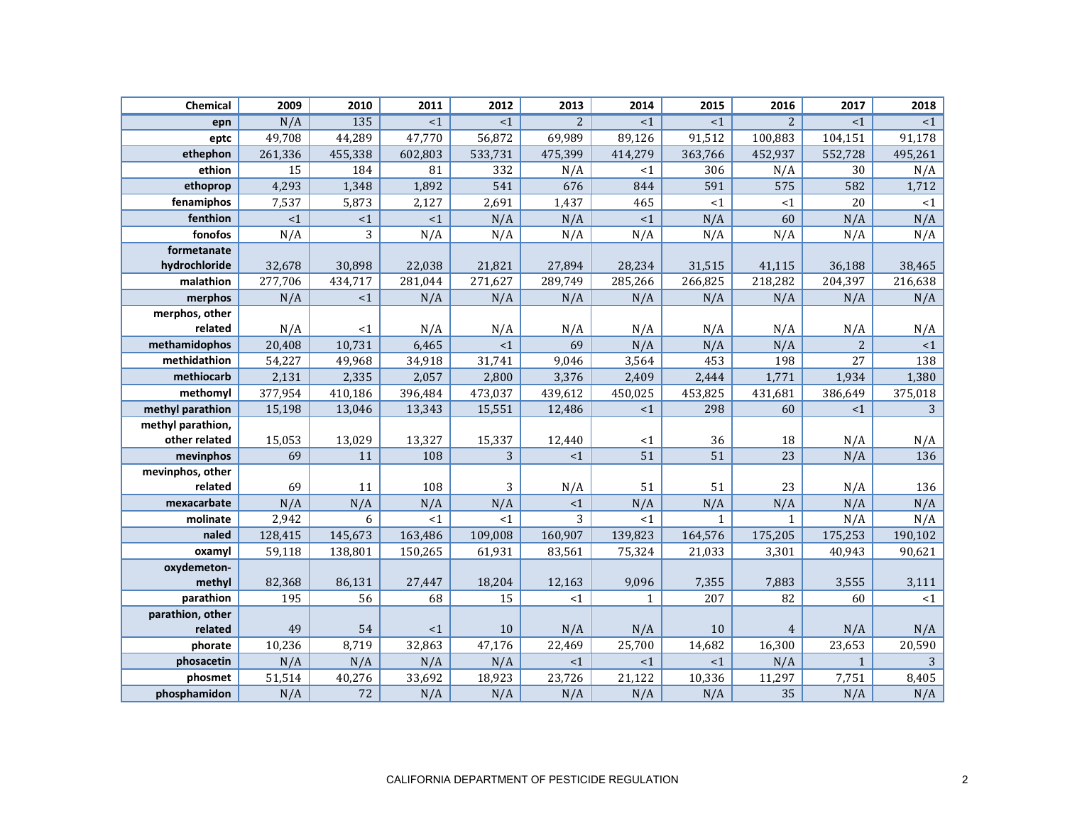| Chemical                    | 2009    | 2010    | 2011    | 2012    | 2013    | 2014         | 2015         | 2016           | 2017         | 2018    |
|-----------------------------|---------|---------|---------|---------|---------|--------------|--------------|----------------|--------------|---------|
| epn                         | N/A     | 135     | <1      | <1      | 2       | $\leq 1$     | <1           | $\overline{2}$ | <1           | <1      |
| eptc                        | 49,708  | 44,289  | 47,770  | 56,872  | 69,989  | 89,126       | 91,512       | 100,883        | 104,151      | 91,178  |
| ethephon                    | 261,336 | 455,338 | 602,803 | 533,731 | 475,399 | 414,279      | 363,766      | 452,937        | 552,728      | 495,261 |
| ethion                      | 15      | 184     | 81      | 332     | N/A     | <1           | 306          | N/A            | 30           | N/A     |
| ethoprop                    | 4,293   | 1,348   | 1,892   | 541     | 676     | 844          | 591          | 575            | 582          | 1,712   |
| fenamiphos                  | 7,537   | 5,873   | 2,127   | 2,691   | 1,437   | 465          | ~1~          | <1             | 20           | <1      |
| fenthion                    | $<1\,$  | ${<}1$  | $<1\,$  | N/A     | N/A     | ${<}1$       | N/A          | 60             | N/A          | N/A     |
| fonofos                     | N/A     | 3       | N/A     | N/A     | N/A     | N/A          | N/A          | N/A            | N/A          | N/A     |
| formetanate                 |         |         |         |         |         |              |              |                |              |         |
| hydrochloride               | 32,678  | 30,898  | 22,038  | 21,821  | 27,894  | 28,234       | 31,515       | 41,115         | 36,188       | 38,465  |
| malathion                   | 277,706 | 434,717 | 281,044 | 271,627 | 289,749 | 285,266      | 266,825      | 218,282        | 204,397      | 216,638 |
| merphos                     | N/A     | <1      | N/A     | N/A     | N/A     | N/A          | N/A          | N/A            | N/A          | N/A     |
| merphos, other              |         |         |         |         |         |              |              |                |              |         |
| related                     | N/A     | <1      | N/A     | N/A     | N/A     | N/A          | N/A          | N/A            | N/A          | N/A     |
| methamidophos               | 20,408  | 10,731  | 6,465   | <1      | 69      | N/A          | N/A          | N/A            | $\mathbf{2}$ | ${<}1$  |
| methidathion                | 54,227  | 49,968  | 34,918  | 31,741  | 9,046   | 3,564        | 453          | 198            | 27           | 138     |
| methiocarb                  | 2,131   | 2,335   | 2,057   | 2,800   | 3,376   | 2,409        | 2,444        | 1,771          | 1,934        | 1,380   |
| methomyl                    | 377,954 | 410,186 | 396,484 | 473,037 | 439,612 | 450,025      | 453,825      | 431,681        | 386,649      | 375,018 |
| methyl parathion            | 15,198  | 13,046  | 13,343  | 15,551  | 12,486  | <1           | 298          | 60             | <1           | 3       |
| methyl parathion,           |         |         |         |         |         |              |              |                |              |         |
| other related               | 15,053  | 13,029  | 13,327  | 15,337  | 12,440  | <1           | 36           | 18             | N/A          | N/A     |
| mevinphos                   | 69      | 11      | 108     | 3       | <1      | 51           | 51           | 23             | N/A          | 136     |
| mevinphos, other            |         |         |         |         |         |              |              |                |              |         |
| related                     | 69      | 11      | 108     | 3       | N/A     | 51           | 51           | 23             | N/A          | 136     |
| mexacarbate                 | N/A     | N/A     | N/A     | N/A     | <1      | N/A          | N/A          | N/A            | N/A          | N/A     |
| molinate                    | 2,942   | 6       | <1      | <1      | 3       | $<$ 1        | $\mathbf{1}$ | $\mathbf{1}$   | N/A          | N/A     |
| naled                       | 128,415 | 145,673 | 163,486 | 109,008 | 160,907 | 139,823      | 164,576      | 175,205        | 175,253      | 190,102 |
| oxamyl                      | 59,118  | 138,801 | 150,265 | 61,931  | 83,561  | 75,324       | 21,033       | 3,301          | 40,943       | 90,621  |
| oxydemeton-                 |         |         |         |         |         |              |              |                |              |         |
| methyl                      | 82,368  | 86,131  | 27,447  | 18,204  | 12,163  | 9,096        | 7,355        | 7,883          | 3,555        | 3,111   |
| parathion                   | 195     | 56      | 68      | 15      | $<$ 1   | $\mathbf{1}$ | 207          | 82             | 60           | <1      |
| parathion, other<br>related | 49      | 54      | <1      | 10      | N/A     | N/A          | 10           | $\overline{4}$ | N/A          | N/A     |
| phorate                     | 10,236  | 8,719   | 32,863  | 47,176  | 22,469  | 25,700       | 14,682       | 16,300         | 23,653       | 20,590  |
| phosacetin                  | N/A     | N/A     | N/A     | N/A     | <1      | <1           | <1           | N/A            | $\mathbf{1}$ | 3       |
| phosmet                     | 51,514  | 40,276  | 33,692  | 18,923  | 23,726  | 21,122       | 10,336       | 11,297         | 7,751        | 8,405   |
| phosphamidon                | N/A     | 72      | N/A     | N/A     | N/A     | N/A          | N/A          | 35             | N/A          | N/A     |